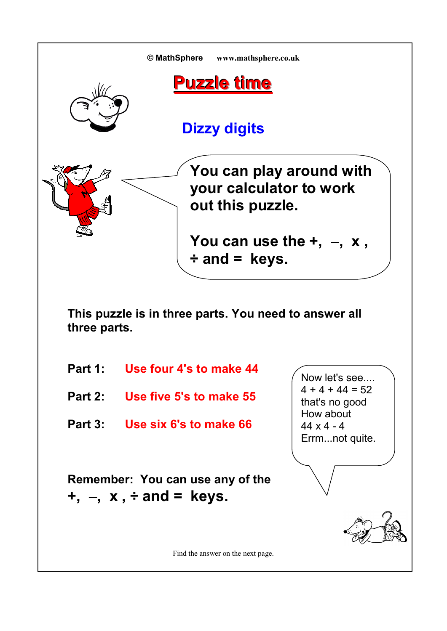